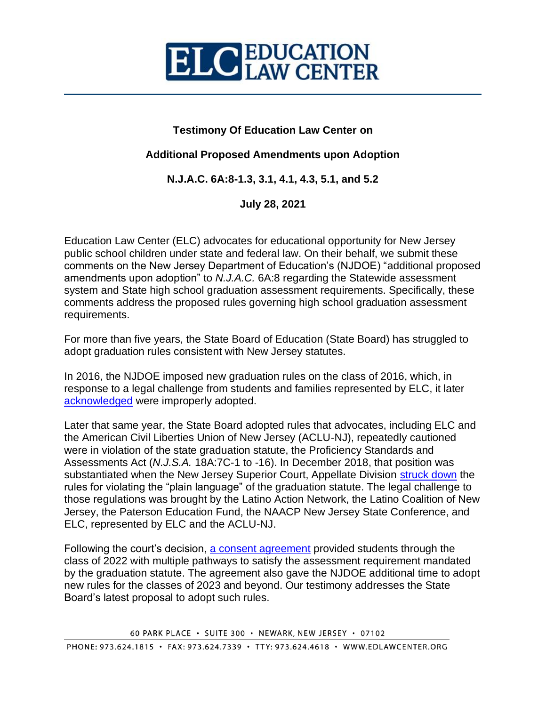

## **Testimony Of Education Law Center on**

## **Additional Proposed Amendments upon Adoption**

**N.J.A.C. 6A:8-1.3, 3.1, 4.1, 4.3, 5.1, and 5.2**

**July 28, 2021**

Education Law Center (ELC) advocates for educational opportunity for New Jersey public school children under state and federal law. On their behalf, we submit these comments on the New Jersey Department of Education's (NJDOE) "additional proposed amendments upon adoption" to *N.J.A.C.* 6A:8 regarding the Statewide assessment system and State high school graduation assessment requirements. Specifically, these comments address the proposed rules governing high school graduation assessment requirements.

For more than five years, the State Board of Education (State Board) has struggled to adopt graduation rules consistent with New Jersey statutes.

In 2016, the NJDOE imposed new graduation rules on the class of 2016, which, in response to a legal challenge from students and families represented by ELC, it later [acknowledged](https://edlawcenter.org/assets/files/pdfs/Newsblasts/T.B.%20Settlement%20Agreement.pdf) were improperly adopted.

Later that same year, the State Board adopted rules that advocates, including ELC and the American Civil Liberties Union of New Jersey (ACLU-NJ), repeatedly cautioned were in violation of the state graduation statute, the Proficiency Standards and Assessments Act (*N.J.S.A.* 18A:7C-1 to -16). In December 2018, that position was substantiated when the New Jersey Superior Court, Appellate Division [struck down](https://edlawcenter.org/assets/files/pdfs/secondary%20reform/In_Re_Standards_and_Assessment_R.pdf) the rules for violating the "plain language" of the graduation statute. The legal challenge to those regulations was brought by the Latino Action Network, the Latino Coalition of New Jersey, the Paterson Education Fund, the NAACP New Jersey State Conference, and ELC, represented by ELC and the ACLU-NJ.

Following the court's decision, [a consent agreement](https://edlawcenter.org/news/archives/secondary-reform/agreement-extends-graduation-pathways-for-all-current-high-school-students.html) provided students through the class of 2022 with multiple pathways to satisfy the assessment requirement mandated by the graduation statute. The agreement also gave the NJDOE additional time to adopt new rules for the classes of 2023 and beyond. Our testimony addresses the State Board's latest proposal to adopt such rules.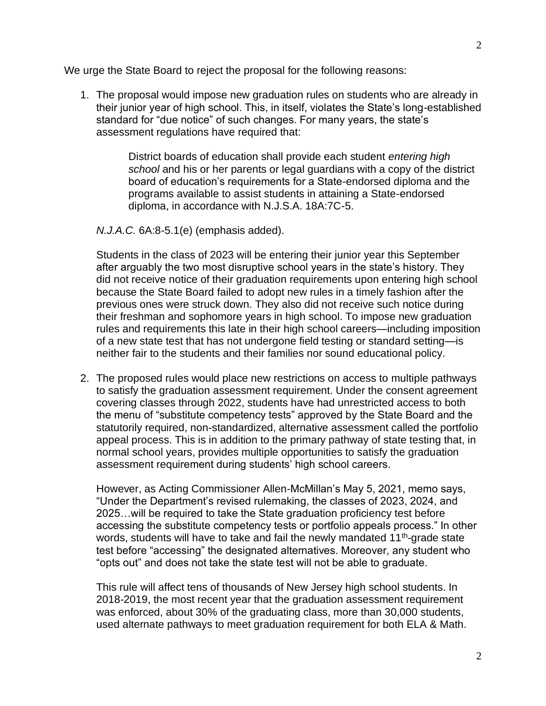We urge the State Board to reject the proposal for the following reasons:

1. The proposal would impose new graduation rules on students who are already in their junior year of high school. This, in itself, violates the State's long-established standard for "due notice" of such changes. For many years, the state's assessment regulations have required that:

> District boards of education shall provide each student *entering high school* and his or her parents or legal guardians with a copy of the district board of education's requirements for a State-endorsed diploma and the programs available to assist students in attaining a State-endorsed diploma, in accordance with N.J.S.A. 18A:7C-5.

*N.J.A.C.* 6A:8-5.1(e) (emphasis added).

Students in the class of 2023 will be entering their junior year this September after arguably the two most disruptive school years in the state's history. They did not receive notice of their graduation requirements upon entering high school because the State Board failed to adopt new rules in a timely fashion after the previous ones were struck down. They also did not receive such notice during their freshman and sophomore years in high school. To impose new graduation rules and requirements this late in their high school careers—including imposition of a new state test that has not undergone field testing or standard setting—is neither fair to the students and their families nor sound educational policy.

2. The proposed rules would place new restrictions on access to multiple pathways to satisfy the graduation assessment requirement. Under the consent agreement covering classes through 2022, students have had unrestricted access to both the menu of "substitute competency tests" approved by the State Board and the statutorily required, non-standardized, alternative assessment called the portfolio appeal process. This is in addition to the primary pathway of state testing that, in normal school years, provides multiple opportunities to satisfy the graduation assessment requirement during students' high school careers.

However, as Acting Commissioner Allen-McMillan's May 5, 2021, memo says, "Under the Department's revised rulemaking, the classes of 2023, 2024, and 2025…will be required to take the State graduation proficiency test before accessing the substitute competency tests or portfolio appeals process." In other words, students will have to take and fail the newly mandated 11<sup>th</sup>-grade state test before "accessing" the designated alternatives. Moreover, any student who "opts out" and does not take the state test will not be able to graduate.

This rule will affect tens of thousands of New Jersey high school students. In 2018-2019, the most recent year that the graduation assessment requirement was enforced, about 30% of the graduating class, more than 30,000 students, used alternate pathways to meet graduation requirement for both ELA & Math.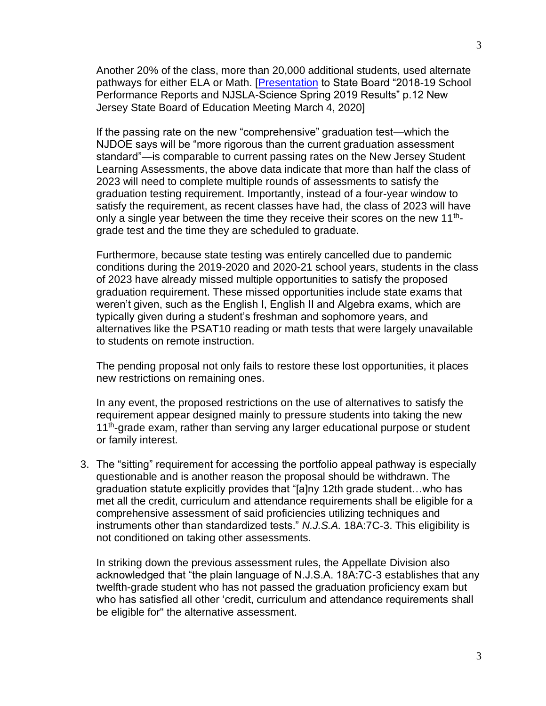Another 20% of the class, more than 20,000 additional students, used alternate pathways for either ELA or Math. [\[Presentation](https://www.nj.gov/education/sboe/meetings/agenda/2020/March/public/4b%202018-19%20School%20Performance%20Reports%20and%20NJSLA%20Science%20Spring%202019%20Results%20presentation.pdf) to State Board "2018-19 School Performance Reports and NJSLA-Science Spring 2019 Results" p.12 New Jersey State Board of Education Meeting March 4, 2020]

If the passing rate on the new "comprehensive" graduation test—which the NJDOE says will be "more rigorous than the current graduation assessment standard"—is comparable to current passing rates on the New Jersey Student Learning Assessments, the above data indicate that more than half the class of 2023 will need to complete multiple rounds of assessments to satisfy the graduation testing requirement. Importantly, instead of a four-year window to satisfy the requirement, as recent classes have had, the class of 2023 will have only a single year between the time they receive their scores on the new 11<sup>th</sup>grade test and the time they are scheduled to graduate.

Furthermore, because state testing was entirely cancelled due to pandemic conditions during the 2019-2020 and 2020-21 school years, students in the class of 2023 have already missed multiple opportunities to satisfy the proposed graduation requirement. These missed opportunities include state exams that weren't given, such as the English I, English II and Algebra exams, which are typically given during a student's freshman and sophomore years, and alternatives like the PSAT10 reading or math tests that were largely unavailable to students on remote instruction.

The pending proposal not only fails to restore these lost opportunities, it places new restrictions on remaining ones.

In any event, the proposed restrictions on the use of alternatives to satisfy the requirement appear designed mainly to pressure students into taking the new 11<sup>th</sup>-grade exam, rather than serving any larger educational purpose or student or family interest.

3. The "sitting" requirement for accessing the portfolio appeal pathway is especially questionable and is another reason the proposal should be withdrawn. The graduation statute explicitly provides that "[a]ny 12th grade student…who has met all the credit, curriculum and attendance requirements shall be eligible for a comprehensive assessment of said proficiencies utilizing techniques and instruments other than standardized tests." *N.J.S.A.* 18A:7C-3. This eligibility is not conditioned on taking other assessments.

In striking down the previous assessment rules, the Appellate Division also acknowledged that "the plain language of N.J.S.A. 18A:7C-3 establishes that any twelfth-grade student who has not passed the graduation proficiency exam but who has satisfied all other 'credit, curriculum and attendance requirements shall be eligible for" the alternative assessment.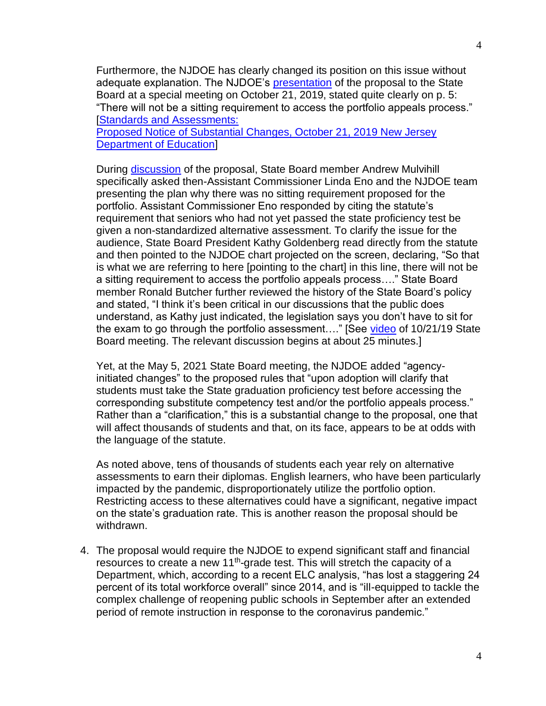Furthermore, the NJDOE has clearly changed its position on this issue without adequate explanation. The NJDOE's [presentation](https://nj.gov/education/sboe/meetings/agenda/2019/October21SpecialMeeting/2c%20Standards%20and%20Assessment%20Power%20Point.pdf) of the proposal to the State Board at a special meeting on October 21, 2019, stated quite clearly on p. 5: "There will not be a sitting requirement to access the portfolio appeals process." [\[Standards and Assessments:](https://nj.gov/education/sboe/meetings/agenda/2019/October21SpecialMeeting/2c%20Standards%20and%20Assessment%20Power%20Point.pdf)

[Proposed Notice of Substantial Changes, October 21, 2019 New Jersey](https://nj.gov/education/sboe/meetings/agenda/2019/October21SpecialMeeting/2c%20Standards%20and%20Assessment%20Power%20Point.pdf)  [Department of Education\]](https://nj.gov/education/sboe/meetings/agenda/2019/October21SpecialMeeting/2c%20Standards%20and%20Assessment%20Power%20Point.pdf)

During [discussion](https://players.brightcove.net/616302910001/default_default/index.html?videoId=6097358263001) of the proposal, State Board member Andrew Mulvihill specifically asked then-Assistant Commissioner Linda Eno and the NJDOE team presenting the plan why there was no sitting requirement proposed for the portfolio. Assistant Commissioner Eno responded by citing the statute's requirement that seniors who had not yet passed the state proficiency test be given a non-standardized alternative assessment. To clarify the issue for the audience, State Board President Kathy Goldenberg read directly from the statute and then pointed to the NJDOE chart projected on the screen, declaring, "So that is what we are referring to here [pointing to the chart] in this line, there will not be a sitting requirement to access the portfolio appeals process…." State Board member Ronald Butcher further reviewed the history of the State Board's policy and stated, "I think it's been critical in our discussions that the public does understand, as Kathy just indicated, the legislation says you don't have to sit for the exam to go through the portfolio assessment…." [See [video](https://players.brightcove.net/616302910001/default_default/index.html?videoId=6097358263001) of 10/21/19 State Board meeting. The relevant discussion begins at about 25 minutes.]

Yet, at the May 5, 2021 State Board meeting, the NJDOE added "agencyinitiated changes" to the proposed rules that "upon adoption will clarify that students must take the State graduation proficiency test before accessing the corresponding substitute competency test and/or the portfolio appeals process." Rather than a "clarification," this is a substantial change to the proposal, one that will affect thousands of students and that, on its face, appears to be at odds with the language of the statute.

As noted above, tens of thousands of students each year rely on alternative assessments to earn their diplomas. English learners, who have been particularly impacted by the pandemic, disproportionately utilize the portfolio option. Restricting access to these alternatives could have a significant, negative impact on the state's graduation rate. This is another reason the proposal should be withdrawn.

4. The proposal would require the NJDOE to expend significant staff and financial resources to create a new 11<sup>th</sup>-grade test. This will stretch the capacity of a Department, which, according to a recent ELC analysis, "has lost a staggering 24 percent of its total workforce overall" since 2014, and is "ill-equipped to tackle the complex challenge of reopening public schools in September after an extended period of remote instruction in response to the coronavirus pandemic."